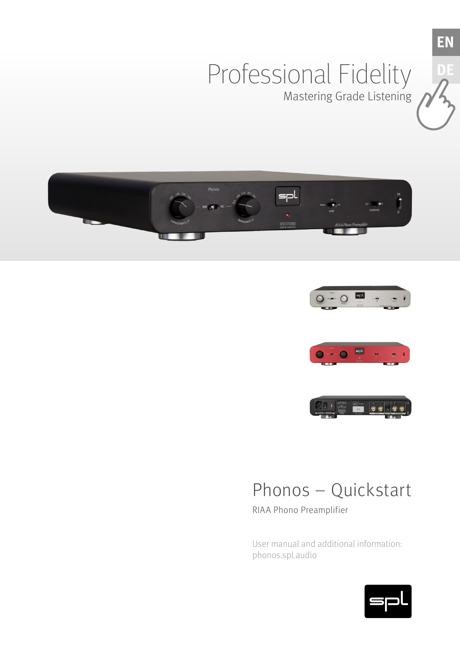# Professional Fidelity Mastering Grade Listening





**EN**

**D** 





# Phonos – Quickstart

RIAA Phono Preamplifier

User manual and additional information: phonos.spl.audio

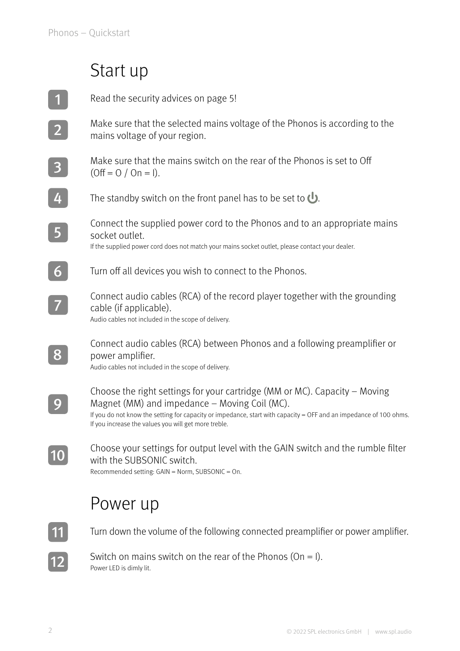### Start up

| Read the security advices on page 5!                                                                                                                                                                                                                                                                     |
|----------------------------------------------------------------------------------------------------------------------------------------------------------------------------------------------------------------------------------------------------------------------------------------------------------|
| Make sure that the selected mains voltage of the Phonos is according to the<br>mains voltage of your region.                                                                                                                                                                                             |
| Make sure that the mains switch on the rear of the Phonos is set to Off<br>$(Off = 0 / On = 1).$                                                                                                                                                                                                         |
| The standby switch on the front panel has to be set to $\bigcup$ .                                                                                                                                                                                                                                       |
| Connect the supplied power cord to the Phonos and to an appropriate mains<br>socket outlet.<br>If the supplied power cord does not match your mains socket outlet, please contact your dealer.                                                                                                           |
| Turn off all devices you wish to connect to the Phonos.                                                                                                                                                                                                                                                  |
| Connect audio cables (RCA) of the record player together with the grounding<br>cable (if applicable).<br>Audio cables not included in the scope of delivery.                                                                                                                                             |
| Connect audio cables (RCA) between Phonos and a following preamplifier or<br>power amplifier.<br>Audio cables not included in the scope of delivery.                                                                                                                                                     |
| Choose the right settings for your cartridge (MM or MC). Capacity – Moving<br>Magnet (MM) and impedance - Moving Coil (MC).<br>If you do not know the setting for capacity or impedance, start with capacity = OFF and an impedance of 100 ohms.<br>If you increase the values you will get more treble. |
| Choose your settings for output level with the GAIN switch and the rumble filter<br>with the SUBSONIC switch.<br>Recommended setting: GAIN = Norm, SUBSONIC = On.                                                                                                                                        |
| Power up                                                                                                                                                                                                                                                                                                 |
| Turn down the volume of the following connected preamplifier or power amplifier.                                                                                                                                                                                                                         |

Switch on mains switch on the rear of the Phonos (On = I). Power LED is dimly lit.

 $|12|$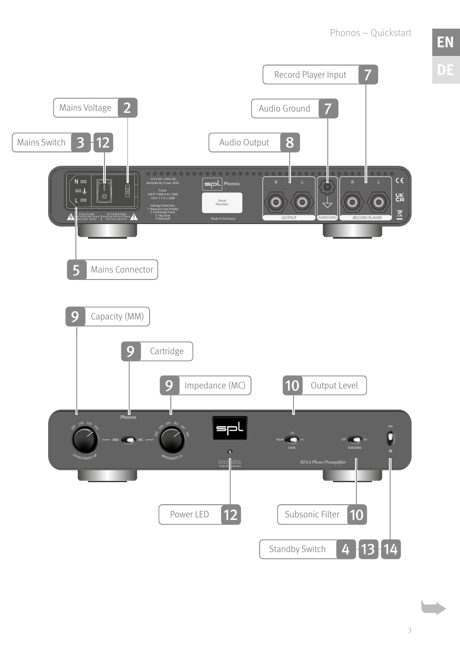Phonos – Quickstart

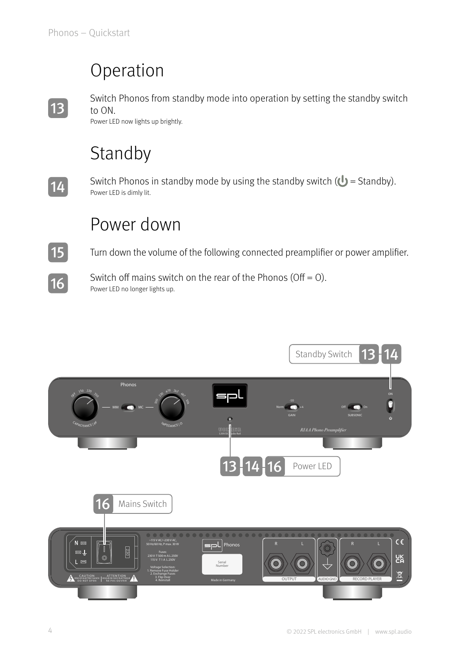### Operation



Switch Phonos from standby mode into operation by setting the standby switch to ON.

Power LED now lights up brightly.

# Standby



Switch Phonos in standby mode by using the standby switch  $(\bigcup$  = Standby). Power LED is dimly lit.

### Power down

Turn down the volume of the following connected preamplifier or power amplifier.



15

Switch off mains switch on the rear of the Phonos (Off =  $O$ ). Power LED no longer lights up.

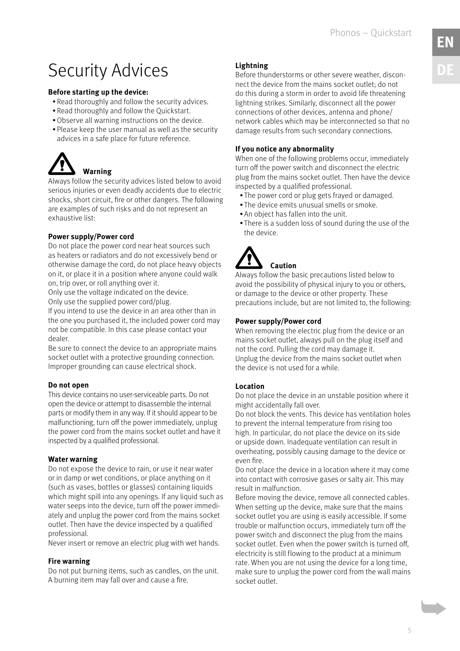Phonos – Quickstart

# <span id="page-4-0"></span>Security Advices

### **Before starting up the device:**

- Read thoroughly and follow the security advices.
- Read thoroughly and follow the Quickstart.
- •Observe all warning instructions on the device.
- Please keep the user manual as well as the security advices in a safe place for future reference.



Always follow the security advices listed below to avoid serious injuries or even deadly accidents due to electric shocks, short circuit, fire or other dangers. The following are examples of such risks and do not represent an exhaustive list:

### **Power supply/Power cord**

Do not place the power cord near heat sources such as heaters or radiators and do not excessively bend or otherwise damage the cord, do not place heavy objects on it, or place it in a position where anyone could walk on, trip over, or roll anything over it.

Only use the voltage indicated on the device. Only use the supplied power cord/plug.

If you intend to use the device in an area other than in the one you purchased it, the included power cord may not be compatible. In this case please contact your dealer.

Be sure to connect the device to an appropriate mains socket outlet with a protective grounding connection. Improper grounding can cause electrical shock.

### **Do not open**

This device contains no user-serviceable parts. Do not open the device or attempt to disassemble the internal parts or modify them in any way. If it should appear to be malfunctioning, turn off the power immediately, unplug the power cord from the mains socket outlet and have it inspected by a qualified professional.

### **Water warning**

Do not expose the device to rain, or use it near water or in damp or wet conditions, or place anything on it (such as vases, bottles or glasses) containing liquids which might spill into any openings. If any liquid such as water seeps into the device, turn off the power immediately and unplug the power cord from the mains socket outlet. Then have the device inspected by a qualified professional.

Never insert or remove an electric plug with wet hands.

### **Fire warning**

Do not put burning items, such as candles, on the unit. A burning item may fall over and cause a fire.

### **Lightning**

Before thunderstorms or other severe weather, disconnect the device from the mains socket outlet; do not do this during a storm in order to avoid life threatening lightning strikes. Similarly, disconnect all the power connections of other devices, antenna and phone/ network cables which may be interconnected so that no damage results from such secondary connections.

### **If you notice any abnormality**

When one of the following problems occur, immediately turn off the power switch and disconnect the electric plug from the mains socket outlet. Then have the device inspected by a qualified professional.

- The power cord or plug gets frayed or damaged.
- The device emits unusual smells or smoke.
- An object has fallen into the unit.
- There is a sudden loss of sound during the use of the the device.

# **Caution**

Always follow the basic precautions listed below to avoid the possibility of physical injury to you or others, or damage to the device or other property. These precautions include, but are not limited to, the following:

### **Power supply/Power cord**

When removing the electric plug from the device or an mains socket outlet, always pull on the plug itself and not the cord. Pulling the cord may damage it. Unplug the device from the mains socket outlet when the device is not used for a while.

### **Location**

Do not place the device in an unstable position where it might accidentally fall over.

Do not block the vents. This device has ventilation holes to prevent the internal temperature from rising too high. In particular, do not place the device on its side or upside down. Inadequate ventilation can result in overheating, possibly causing damage to the device or even fire.

Do not place the device in a location where it may come into contact with corrosive gases or salty air. This may result in malfunction.

Before moving the device, remove all connected cables. When setting up the device, make sure that the mains socket outlet you are using is easily accessible. If some trouble or malfunction occurs, immediately turn off the power switch and disconnect the plug from the mains socket outlet. Even when the power switch is turned off, electricity is still flowing to the product at a minimum rate. When you are not using the device for a long time, make sure to unplug the power cord from the wall mains socket outlet.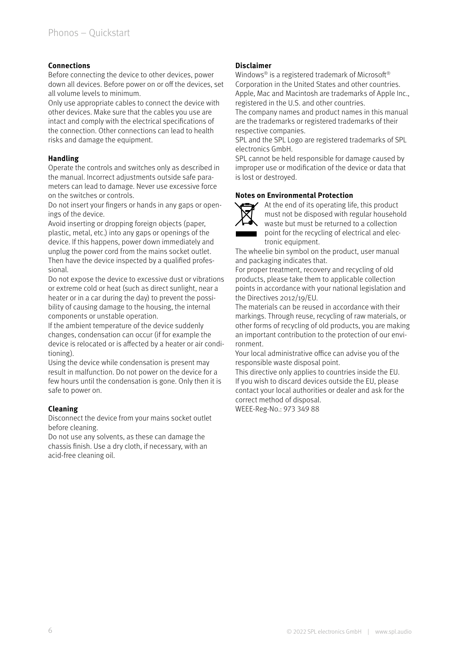### **Connections**

Before connecting the device to other devices, power down all devices. Before power on or off the devices, set all volume levels to minimum.

Only use appropriate cables to connect the device with other devices. Make sure that the cables you use are intact and comply with the electrical specifications of the connection. Other connections can lead to health risks and damage the equipment.

#### **Handling**

Operate the controls and switches only as described in the manual. Incorrect adjustments outside safe parameters can lead to damage. Never use excessive force on the switches or controls.

Do not insert your fingers or hands in any gaps or openings of the device.

Avoid inserting or dropping foreign objects (paper, plastic, metal, etc.) into any gaps or openings of the device. If this happens, power down immediately and unplug the power cord from the mains socket outlet. Then have the device inspected by a qualified professional.

Do not expose the device to excessive dust or vibrations or extreme cold or heat (such as direct sunlight, near a heater or in a car during the day) to prevent the possibility of causing damage to the housing, the internal components or unstable operation.

If the ambient temperature of the device suddenly changes, condensation can occur (if for example the device is relocated or is affected by a heater or air conditioning).

Using the device while condensation is present may result in malfunction. Do not power on the device for a few hours until the condensation is gone. Only then it is safe to power on.

### **Cleaning**

Disconnect the device from your mains socket outlet before cleaning.

Do not use any solvents, as these can damage the chassis finish. Use a dry cloth, if necessary, with an acid-free cleaning oil.

### **Disclaimer**

Windows® is a registered trademark of Microsoft® Corporation in the United States and other countries. Apple, Mac and Macintosh are trademarks of Apple Inc., registered in the U.S. and other countries.

The company names and product names in this manual are the trademarks or registered trademarks of their respective companies.

SPL and the SPL Logo are registered trademarks of SPL electronics GmbH.

SPL cannot be held responsible for damage caused by improper use or modification of the device or data that is lost or destroyed.

#### **Notes on Environmental Protection**



At the end of its operating life, this product must not be disposed with regular household waste but must be returned to a collection point for the recycling of electrical and electronic equipment.

The wheelie bin symbol on the product, user manual and packaging indicates that.

For proper treatment, recovery and recycling of old products, please take them to applicable collection points in accordance with your national legislation and the Directives 2012/19/EU.

The materials can be reused in accordance with their markings. Through reuse, recycling of raw materials, or other forms of recycling of old products, you are making an important contribution to the protection of our environment.

Your local administrative office can advise you of the responsible waste disposal point.

This directive only applies to countries inside the EU. If you wish to discard devices outside the EU, please contact your local authorities or dealer and ask for the correct method of disposal.

WEEE-Reg-No.: 973 349 88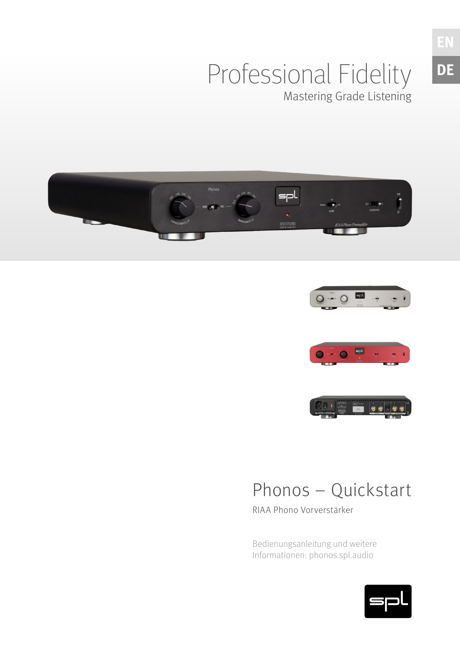## Professional Fidelity Mastering Grade Listening





**EN**

**DE**





# Phonos – Quickstart

RIAA Phono Vorverstärker

Bedienungsanleitung und weitere Informationen: phonos.spl.audio

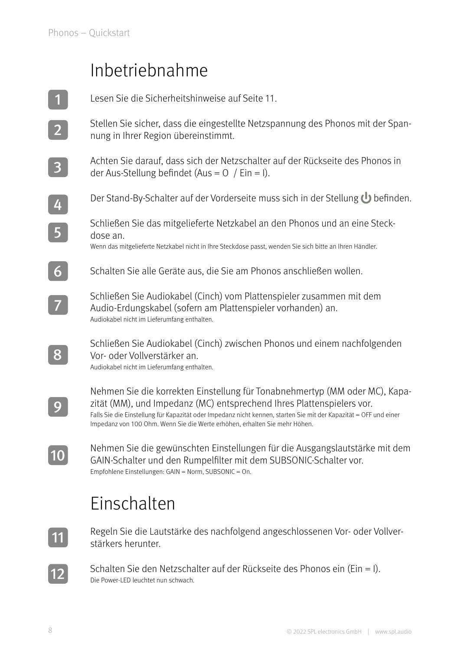### Inbetriebnahme

Lesen Sie die Sicherheitshinweise auf Seite [11.](#page-10-0) Stellen Sie sicher, dass die eingestellte Netzspannung des Phonos mit der Spannung in Ihrer Region übereinstimmt. Achten Sie darauf, dass sich der Netzschalter auf der Rückseite des Phonos in der Aus-Stellung befindet (Aus =  $\sigma$  / Ein = I). Der Stand-By-Schalter auf der Vorderseite muss sich in der Stellung U befinden. Schließen Sie das mitgelieferte Netzkabel an den Phonos und an eine Steckdose an. Wenn das mitgelieferte Netzkabel nicht in Ihre Steckdose passt, wenden Sie sich bitte an Ihren Händler. Schalten Sie alle Geräte aus, die Sie am Phonos anschließen wollen. Schließen Sie Audiokabel (Cinch) vom Plattenspieler zusammen mit dem Audio-Erdungskabel (sofern am Plattenspieler vorhanden) an. Audiokabel nicht im Lieferumfang enthalten. Schließen Sie Audiokabel (Cinch) zwischen Phonos und einem nachfolgenden Vor- oder Vollverstärker an. Audiokabel nicht im Lieferumfang enthalten. Nehmen Sie die korrekten Einstellung für Tonabnehmertyp (MM oder MC), Kapazität (MM), und Impedanz (MC) entsprechend Ihres Plattenspielers vor. Falls Sie die Einstellung für Kapazität oder Impedanz nicht kennen, starten Sie mit der Kapazität = OFF und einer Impedanz von 100 Ohm. Wenn Sie die Werte erhöhen, erhalten Sie mehr Höhen. Nehmen Sie die gewünschten Einstellungen für die Ausgangslautstärke mit dem GAIN-Schalter und den Rumpelfilter mit dem SUBSONIC-Schalter vor. Empfohlene Einstellungen: GAIN = Norm, SUBSONIC = On. 1 2 3 4 5 6 7 8 9 10

# Einschalten



12

Regeln Sie die Lautstärke des nachfolgend angeschlossenen Vor- oder Vollverstärkers herunter.

Schalten Sie den Netzschalter auf der Rückseite des Phonos ein (Ein = I). Die Power-LED leuchtet nun schwach.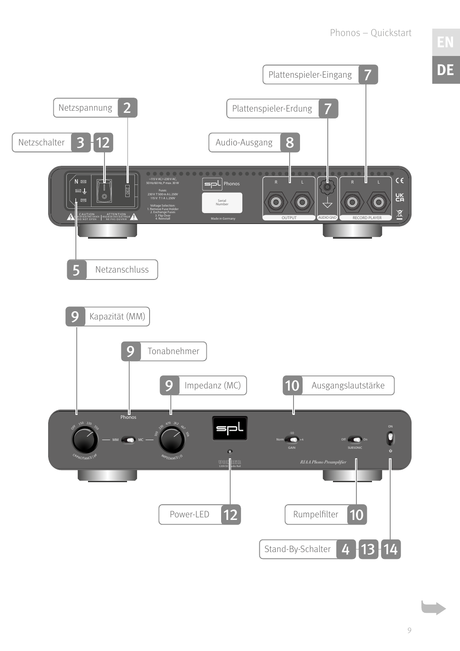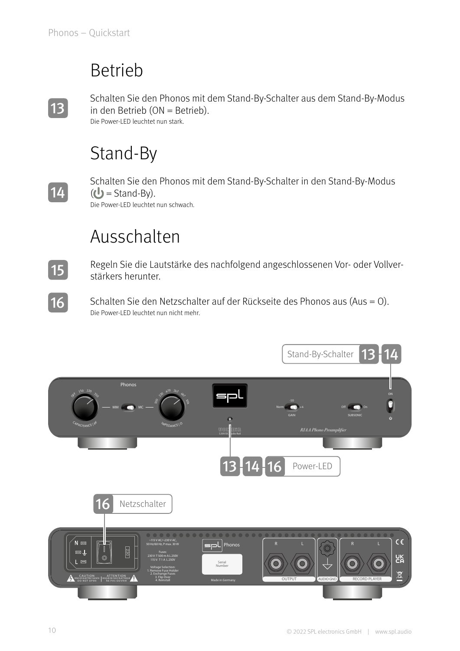### Betrieb

13

Schalten Sie den Phonos mit dem Stand-By-Schalter aus dem Stand-By-Modus in den Betrieb (ON = Betrieb). Die Power-LED leuchtet nun stark.

# Stand-By



15

16

Schalten Sie den Phonos mit dem Stand-By-Schalter in den Stand-By-Modus  $(U =$ Stand-By). Die Power-LED leuchtet nun schwach.

## Ausschalten

Regeln Sie die Lautstärke des nachfolgend angeschlossenen Vor- oder Vollverstärkers herunter.

Schalten Sie den Netzschalter auf der Rückseite des Phonos aus (Aus = O). Die Power-LED leuchtet nun nicht mehr.

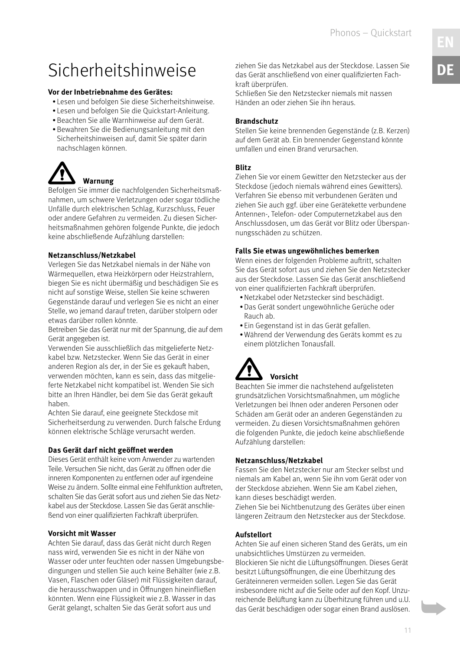### <span id="page-10-0"></span>Sicherheitshinweise

#### **Vor der Inbetriebnahme des Gerätes:**

- Lesen und befolgen Sie diese Sicherheitshinweise.
- Lesen und befolgen Sie die Quickstart-Anleitung.
- •Beachten Sie alle Warnhinweise auf dem Gerät.
- •Bewahren Sie die Bedienungsanleitung mit den Sicherheitshinweisen auf, damit Sie später darin nachschlagen können.

# **Warnung**

Befolgen Sie immer die nachfolgenden Sicherheitsmaßnahmen, um schwere Verletzungen oder sogar tödliche Unfälle durch elektrischen Schlag, Kurzschluss, Feuer oder andere Gefahren zu vermeiden. Zu diesen Sicherheitsmaßnahmen gehören folgende Punkte, die jedoch keine abschließende Aufzählung darstellen:

### **Netzanschluss/Netzkabel**

Verlegen Sie das Netzkabel niemals in der Nähe von Wärmequellen, etwa Heizkörpern oder Heizstrahlern, biegen Sie es nicht übermäßig und beschädigen Sie es nicht auf sonstige Weise, stellen Sie keine schweren Gegenstände darauf und verlegen Sie es nicht an einer Stelle, wo jemand darauf treten, darüber stolpern oder etwas darüber rollen könnte.

Betreiben Sie das Gerät nur mit der Spannung, die auf dem Gerät angegeben ist.

Verwenden Sie ausschließlich das mitgelieferte Netzkabel bzw. Netzstecker. Wenn Sie das Gerät in einer anderen Region als der, in der Sie es gekauft haben, verwenden möchten, kann es sein, dass das mitgelieferte Netzkabel nicht kompatibel ist. Wenden Sie sich bitte an Ihren Händler, bei dem Sie das Gerät gekauft haben.

Achten Sie darauf, eine geeignete Steckdose mit Sicherheitserdung zu verwenden. Durch falsche Erdung können elektrische Schläge verursacht werden.

### **Das Gerät darf nicht geöffnet werden**

Dieses Gerät enthält keine vom Anwender zu wartenden Teile. Versuchen Sie nicht, das Gerät zu öffnen oder die inneren Komponenten zu entfernen oder auf irgendeine Weise zu ändern. Sollte einmal eine Fehlfunktion auftreten, schalten Sie das Gerät sofort aus und ziehen Sie das Netzkabel aus der Steckdose. Lassen Sie das Gerät anschließend von einer qualifizierten Fachkraft überprüfen.

### **Vorsicht mit Wasser**

Achten Sie darauf, dass das Gerät nicht durch Regen nass wird, verwenden Sie es nicht in der Nähe von Wasser oder unter feuchten oder nassen Umgebungsbedingungen und stellen Sie auch keine Behälter (wie z.B. Vasen, Flaschen oder Gläser) mit Flüssigkeiten darauf, die herausschwappen und in Öffnungen hineinfließen könnten. Wenn eine Flüssigkeit wie z.B. Wasser in das Gerät gelangt, schalten Sie das Gerät sofort aus und

ziehen Sie das Netzkabel aus der Steckdose. Lassen Sie das Gerät anschließend von einer qualifizierten Fachkraft überprüfen.

Schließen Sie den Netzstecker niemals mit nassen Händen an oder ziehen Sie ihn heraus.

### **Brandschutz**

Stellen Sie keine brennenden Gegenstände (z.B. Kerzen) auf dem Gerät ab. Ein brennender Gegenstand könnte umfallen und einen Brand verursachen.

### **Blitz**

Ziehen Sie vor einem Gewitter den Netzstecker aus der Steckdose (jedoch niemals während eines Gewitters). Verfahren Sie ebenso mit verbundenen Geräten und ziehen Sie auch ggf. über eine Gerätekette verbundene Antennen-, Telefon- oder Computernetzkabel aus den Anschlussdosen, um das Gerät vor Blitz oder Überspannungsschäden zu schützen.

### **Falls Sie etwas ungewöhnliches bemerken**

Wenn eines der folgenden Probleme auftritt, schalten Sie das Gerät sofort aus und ziehen Sie den Netzstecker aus der Steckdose. Lassen Sie das Gerät anschließend von einer qualifizierten Fachkraft überprüfen.

- •Netzkabel oder Netzstecker sind beschädigt.
- •Das Gerät sondert ungewöhnliche Gerüche oder Rauch ab.
- Ein Gegenstand ist in das Gerät gefallen.
- •Während der Verwendung des Geräts kommt es zu einem plötzlichen Tonausfall.



Beachten Sie immer die nachstehend aufgelisteten grundsätzlichen Vorsichtsmaßnahmen, um mögliche Verletzungen bei Ihnen oder anderen Personen oder Schäden am Gerät oder an anderen Gegenständen zu vermeiden. Zu diesen Vorsichtsmaßnahmen gehören die folgenden Punkte, die jedoch keine abschließende Aufzählung darstellen:

### **Netzanschluss/Netzkabel**

Fassen Sie den Netzstecker nur am Stecker selbst und niemals am Kabel an, wenn Sie ihn vom Gerät oder von der Steckdose abziehen. Wenn Sie am Kabel ziehen, kann dieses beschädigt werden.

Ziehen Sie bei Nichtbenutzung des Gerätes über einen längeren Zeitraum den Netzstecker aus der Steckdose.

### **Aufstellort**

Achten Sie auf einen sicheren Stand des Geräts, um ein unabsichtliches Umstürzen zu vermeiden. Blockieren Sie nicht die Lüftungsöffnungen. Dieses Gerät besitzt Lüftungsöffnungen, die eine Überhitzung des Geräteinneren vermeiden sollen. Legen Sie das Gerät insbesondere nicht auf die Seite oder auf den Kopf. Unzureichende Belüftung kann zu Überhitzung führen und u.U. das Gerät beschädigen oder sogar einen Brand auslösen.